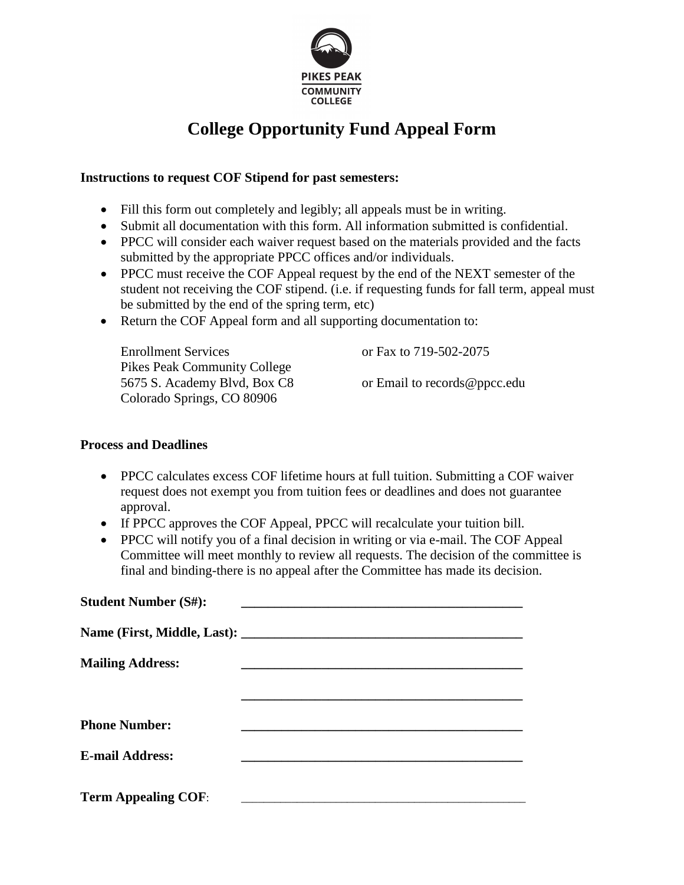

# **College Opportunity Fund Appeal Form**

## **Instructions to request COF Stipend for past semesters:**

- Fill this form out completely and legibly; all appeals must be in writing.
- Submit all documentation with this form. All information submitted is confidential.
- PPCC will consider each waiver request based on the materials provided and the facts submitted by the appropriate PPCC offices and/or individuals.
- PPCC must receive the COF Appeal request by the end of the NEXT semester of the student not receiving the COF stipend. (i.e. if requesting funds for fall term, appeal must be submitted by the end of the spring term, etc)
- Return the COF Appeal form and all supporting documentation to:

| <b>Enrollment Services</b>          | or Fax to 719-502-2075       |
|-------------------------------------|------------------------------|
| <b>Pikes Peak Community College</b> |                              |
| 5675 S. Academy Blvd, Box C8        | or Email to records@ppcc.edu |
| Colorado Springs, CO 80906          |                              |

### **Process and Deadlines**

- PPCC calculates excess COF lifetime hours at full tuition. Submitting a COF waiver request does not exempt you from tuition fees or deadlines and does not guarantee approval.
- If PPCC approves the COF Appeal, PPCC will recalculate your tuition bill.
- PPCC will notify you of a final decision in writing or via e-mail. The COF Appeal Committee will meet monthly to review all requests. The decision of the committee is final and binding-there is no appeal after the Committee has made its decision.

| <b>Student Number (S#):</b> |                                                   |
|-----------------------------|---------------------------------------------------|
|                             |                                                   |
| <b>Mailing Address:</b>     |                                                   |
|                             |                                                   |
| <b>Phone Number:</b>        |                                                   |
| <b>E-mail Address:</b>      |                                                   |
| <b>Term Appealing COF:</b>  | <u> 1989 - John Stone, amerikansk politiker (</u> |